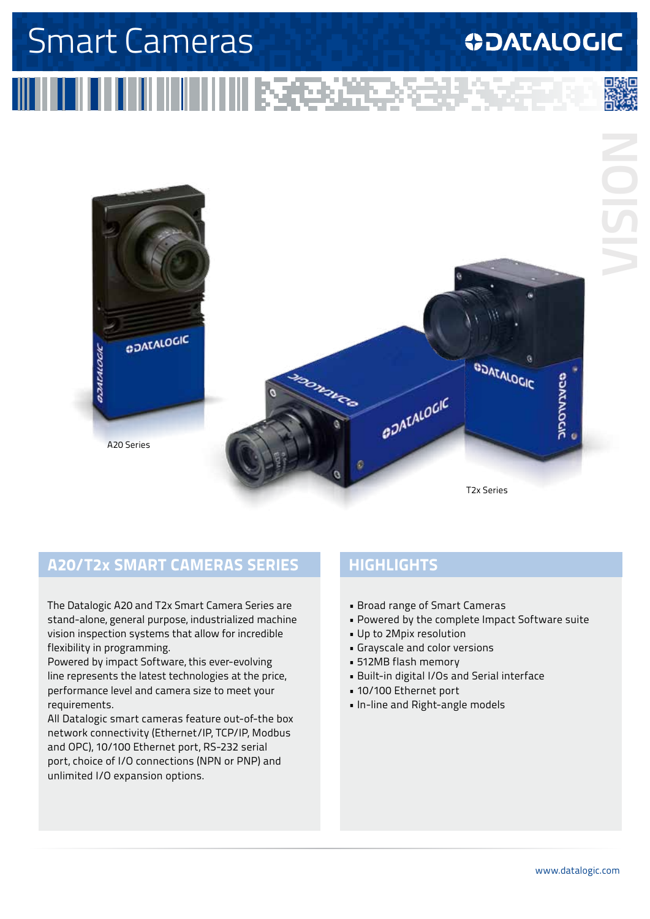# Smart Cameras

### **ODATALOGIC**

**ININING MARK** 



#### **A20/T2x SMART CAMERAS SERIES**

The Datalogic A20 and T2x Smart Camera Series are stand-alone, general purpose, industrialized machine vision inspection systems that allow for incredible flexibility in programming.

Powered by impact Software, this ever-evolving line represents the latest technologies at the price, performance level and camera size to meet your requirements.

All Datalogic smart cameras feature out-of-the box network connectivity (Ethernet/IP, TCP/IP, Modbus and OPC), 10/100 Ethernet port, RS-232 serial port, choice of I/O connections (NPN or PNP) and unlimited I/O expansion options.

### **HIGHLIGHTS**

- Broad range of Smart Cameras
- Powered by the complete Impact Software suite
- Up to 2Mpix resolution
- Grayscale and color versions
- 512MB flash memory
- Built-in digital I/Os and Serial interface
- 10/100 Ethernet port
- In-line and Right-angle models